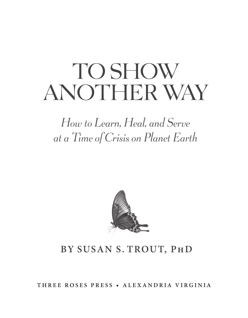# TO SHOW AnoTher wAy

*How to Learn, Heal, and Serve at a Time of Crisis on Planet Earth*



### **by SuSan S. TrouT, PhD**

**Three r o S e S Pre S S • a lexan D ria Virginia**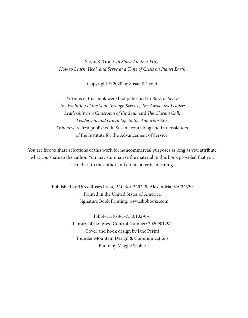Susan S. Trout: *To Show Another Way: How to Learn, Heal, and Serve at a Time of Crisis on Planet Earth*

Copyright © 2020 by Susan S. Trout

Portions of this book were first published in *Born to Serve: The Evolution of the Soul Through Service, The Awakened Leader: Leadership as a Classroom of the Soul*; and *The Clarion Call: Leadership and Group Life in the Aquarian Era.*  Others were first published in Susan Trout's blog and in newsletters of the Institute for the Advancement of Service.

You are free to share selections of this work for noncommercial purposes as long as you attribute what you share to the author. You may summarize the material in this book provided that you accredit it to the author and do not alter its meaning.

> Published by Three Roses Press, P.O. Box 320245, Alexandria, VA 22320 Printed in the United States of America Signature Book Printing, www.sbpbooks.com

> > ISBN-13: 978-1-7340102-0-6 Library of Congress Control Number: 2020901297 Cover and book design by Jane Perini Thunder Mountain Design & Communications Photo by Maggie Scobie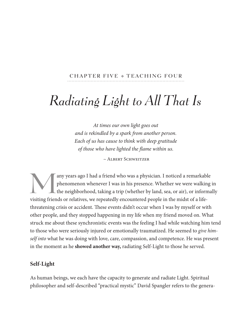#### CHAPTER FIVE + TEACHING FOUR

## *Radiating Light to All That Is*

*At times our own light goes out and is rekindled by a spark from another person. Each of us has cause to think with deep gratitude of those who have lighted the flame within us.*

 *~* Albert Schweitzer

Many years ago I had a friend who was a physician. I noticed a remarkable phenomenon whenever I was in his presence. Whether we were walking the neighborhood, taking a trip (whether by land, sea, or air), or information is phenomenon whenever I was in his presence. whether we were walking in the neighborhood, taking a trip (whether by land, sea, or air), or informally visiting friends or relatives, we repeatedly encountered people in the midst of a lifethreatening crisis or accident. These events didn't occur when I was by myself or with other people, and they stopped happening in my life when my friend moved on. what struck me about these synchronistic events was the feeling I had while watching him tend to those who were seriously injured or emotionally traumatized. He seemed to *give himself into* what he was doing with love, care, compassion, and competence. He was present in the moment as he **showed another way,** radiating Self-Light to those he served.

#### **Self-Light**

As human beings, we each have the capacity to generate and radiate Light. Spiritual philosopher and self-described "practical mystic" David Spangler refers to the genera-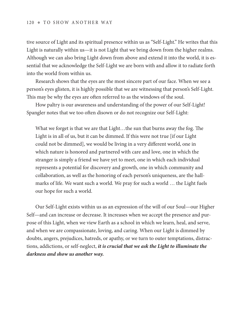#### 120 • TO SHOW ANOTHER WAY

tive source of Light and its spiritual presence within us as "Self-Light." He writes that this Light is naturally within us—it is not Light that we bring down from the higher realms. Although we can also bring Light down from above and extend it into the world, it is essential that we acknowledge the Self-Light we are born with and allow it to radiate forth into the world from within us.

Research shows that the eyes are the most sincere part of our face. when we see a person's eyes glisten, it is highly possible that we are witnessing that person's Self-Light. This may be why the eyes are often referred to as the windows of the soul.

How paltry is our awareness and understanding of the power of our Self-Light! Spangler notes that we too often disown or do not recognize our Self-Light:

What we forget is that we are that Light...the sun that burns away the fog. The Light is in all of us, but it can be dimmed. If this were not true [if our Light could not be dimmed], we would be living in a very different world, one in which nature is honored and partnered with care and love, one in which the stranger is simply a friend we have yet to meet, one in which each individual represents a potential for discovery and growth, one in which community and collaboration, as well as the honoring of each person's uniqueness, are the hallmarks of life. we want such a world. we pray for such a world … the Light fuels our hope for such a world.

Our Self-Light exists within us as an expression of the will of our Soul—our Higher Self—and can increase or decrease. It increases when we accept the presence and purpose of this Light, when we view Earth as a school in which we learn, heal, and serve, and when we are compassionate, loving, and caring. when our Light is dimmed by doubts, angers, prejudices, hatreds, or apathy, or we turn to outer temptations, distractions, addictions, or self-neglect, *it is crucial that we ask the Light to illuminate the darkness and show us another way.*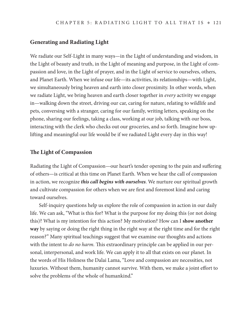#### **Generating and Radiating Light**

we radiate our Self-Light in many ways—in the Light of understanding and wisdom, in the Light of beauty and truth, in the Light of meaning and purpose, in the Light of compassion and love, in the Light of prayer, and in the Light of service to ourselves, others, and Planet Earth. when we infuse our life—its activities, its relationships—with Light, we simultaneously bring heaven and earth into closer proximity. In other words, when we radiate Light, we bring heaven and earth closer together in *every* activity we engage in—walking down the street, driving our car, caring for nature, relating to wildlife and pets, conversing with a stranger, caring for our family, writing letters, speaking on the phone, sharing our feelings, taking a class, working at our job, talking with our boss, interacting with the clerk who checks out our groceries, and so forth. Imagine how uplifting and meaningful our life would be if we radiated Light every day in this way!

#### **The Light of Compassion**

Radiating the Light of Compassion—our heart's tender opening to the pain and suffering of others—is critical at this time on Planet Earth. when we hear the call of compassion in action, we recognize *this call begins with ourselves*. we nurture our spiritual growth and cultivate compassion for others when we are first and foremost kind and caring toward ourselves.

Self-inquiry questions help us explore the role of compassion in action in our daily life. we can ask, "what is this for? what is the purpose for my doing this (or not doing this)? what is my intention for this action? My motivation? How can I **show another way** by saying or doing the right thing in the right way at the right time and for the right reason?" Many spiritual teachings suggest that we examine our thoughts and actions with the intent to *do no harm.* This extraordinary principle can be applied in our personal, interpersonal, and work life. we can apply it to all that exists on our planet. In the words of His Holiness the Dalai Lama, "Love and compassion are necessities, not luxuries. without them, humanity cannot survive. with them, we make a joint effort to solve the problems of the whole of humankind."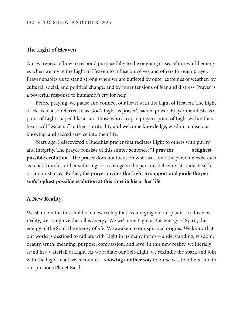#### 122 • TO SHOW ANOTHER WAY

#### **The Light of Heaven**

An awareness of how to respond purposefully to the ongoing crises of our world emerges when we invite the Light of Heaven to infuse ourselves and others through prayer. Prayer enables us to stand strong when we are buffeted by outer extremes of weather; by cultural, social, and political change; and by inner tensions of fear and distress. Prayer is a powerful response to humanity's cry for help.

Before praying, we pause and connect our heart with the Light of Heaven. The Light of Heaven, also referred to as God's Light, is prayer's sacred power. Prayer manifests as a point of Light shaped like a star. Those who accept a prayer's point of Light within their heart will "wake up" to their spirituality and welcome knowledge, wisdom, conscious knowing, and sacred service into their life.

Years ago, I discovered a Buddhist prayer that radiates Light to others with purity and integrity. The prayer consists of this simple sentence: **"I pray for \_\_\_\_\_\_'s highest possible evolution."** The prayer does not focus on what we think the person needs, such as relief from his or her suffering, or a change in the person's behavior, attitude, health, or circumstances. Rather, **the prayer invites the Light to support and guide the person's highest possible evolution at this time in his or her life.** 

#### **A New Reality**

we stand on the threshold of a new reality that is emerging on our planet. In this new reality, we recognize that all is energy. we welcome Light as the energy of Spirit, the energy of the Soul, the energy of life. we awaken to our spiritual origins. we know that our world is destined to radiate with Light in its many forms—understanding, wisdom, beauty, truth, meaning, purpose, compassion, and love. In this new reality, we literally stand in a waterfall of Light. As we radiate our Self-Light, we rekindle the spark and join with the Light in all we encounter—**showing another way** to ourselves, to others, and to our precious Planet Earth.